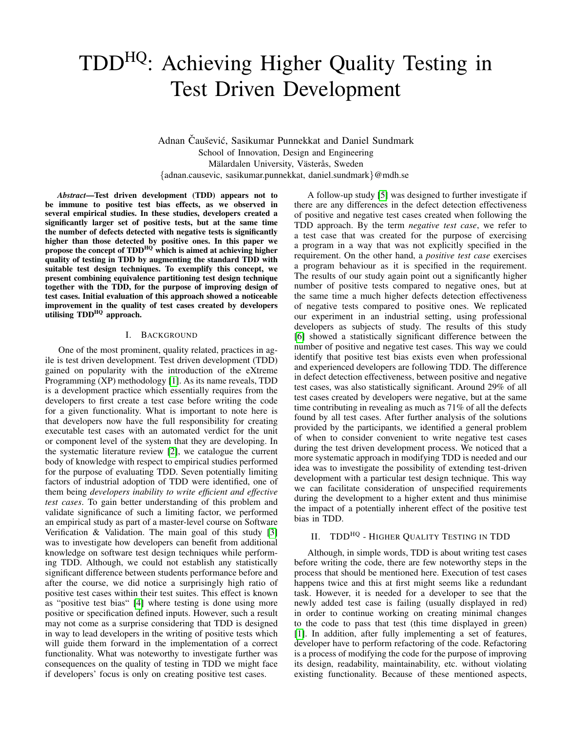# TDD<sup>HQ</sup>: Achieving Higher Quality Testing in Test Driven Development

Adnan Caušević, Sasikumar Punnekkat and Daniel Sundmark School of Innovation, Design and Engineering Mälardalen University, Västerås, Sweden {adnan.causevic, sasikumar.punnekkat, daniel.sundmark}@mdh.se

*Abstract*—Test driven development (TDD) appears not to be immune to positive test bias effects, as we observed in several empirical studies. In these studies, developers created a significantly larger set of positive tests, but at the same time the number of defects detected with negative tests is significantly higher than those detected by positive ones. In this paper we propose the concept of TDD<sup>HQ'</sup> which is aimed at achieving higher quality of testing in TDD by augmenting the standard TDD with suitable test design techniques. To exemplify this concept, we present combining equivalence partitioning test design technique together with the TDD, for the purpose of improving design of test cases. Initial evaluation of this approach showed a noticeable improvement in the quality of test cases created by developers utilising TDD<sup>HQ</sup> approach.

## I. BACKGROUND

One of the most prominent, quality related, practices in agile is test driven development. Test driven development (TDD) gained on popularity with the introduction of the eXtreme Programming (XP) methodology [\[1\]](#page-3-0). As its name reveals, TDD is a development practice which essentially requires from the developers to first create a test case before writing the code for a given functionality. What is important to note here is that developers now have the full responsibility for creating executable test cases with an automated verdict for the unit or component level of the system that they are developing. In the systematic literature review [\[2\]](#page-3-1), we catalogue the current body of knowledge with respect to empirical studies performed for the purpose of evaluating TDD. Seven potentially limiting factors of industrial adoption of TDD were identified, one of them being *developers inability to write efficient and effective test cases*. To gain better understanding of this problem and validate significance of such a limiting factor, we performed an empirical study as part of a master-level course on Software Verification & Validation. The main goal of this study [\[3\]](#page-3-2) was to investigate how developers can benefit from additional knowledge on software test design techniques while performing TDD. Although, we could not establish any statistically significant difference between students performance before and after the course, we did notice a surprisingly high ratio of positive test cases within their test suites. This effect is known as "positive test bias" [\[4\]](#page-3-3) where testing is done using more positive or specification defined inputs. However, such a result may not come as a surprise considering that TDD is designed in way to lead developers in the writing of positive tests which will guide them forward in the implementation of a correct functionality. What was noteworthy to investigate further was consequences on the quality of testing in TDD we might face if developers' focus is only on creating positive test cases.

A follow-up study [\[5\]](#page-3-4) was designed to further investigate if there are any differences in the defect detection effectiveness of positive and negative test cases created when following the TDD approach. By the term *negative test case*, we refer to a test case that was created for the purpose of exercising a program in a way that was not explicitly specified in the requirement. On the other hand, a *positive test case* exercises a program behaviour as it is specified in the requirement. The results of our study again point out a significantly higher number of positive tests compared to negative ones, but at the same time a much higher defects detection effectiveness of negative tests compared to positive ones. We replicated our experiment in an industrial setting, using professional developers as subjects of study. The results of this study [\[6\]](#page-3-5) showed a statistically significant difference between the number of positive and negative test cases. This way we could identify that positive test bias exists even when professional and experienced developers are following TDD. The difference in defect detection effectiveness, between positive and negative test cases, was also statistically significant. Around 29% of all test cases created by developers were negative, but at the same time contributing in revealing as much as 71% of all the defects found by all test cases. After further analysis of the solutions provided by the participants, we identified a general problem of when to consider convenient to write negative test cases during the test driven development process. We noticed that a more systematic approach in modifying TDD is needed and our idea was to investigate the possibility of extending test-driven development with a particular test design technique. This way we can facilitate consideration of unspecified requirements during the development to a higher extent and thus minimise the impact of a potentially inherent effect of the positive test bias in TDD.

# II. TDD<sup>HQ</sup> - HIGHER QUALITY TESTING IN TDD

Although, in simple words, TDD is about writing test cases before writing the code, there are few noteworthy steps in the process that should be mentioned here. Execution of test cases happens twice and this at first might seems like a redundant task. However, it is needed for a developer to see that the newly added test case is failing (usually displayed in red) in order to continue working on creating minimal changes to the code to pass that test (this time displayed in green) [\[1\]](#page-3-0). In addition, after fully implementing a set of features, developer have to perform refactoring of the code. Refactoring is a process of modifying the code for the purpose of improving its design, readability, maintainability, etc. without violating existing functionality. Because of these mentioned aspects,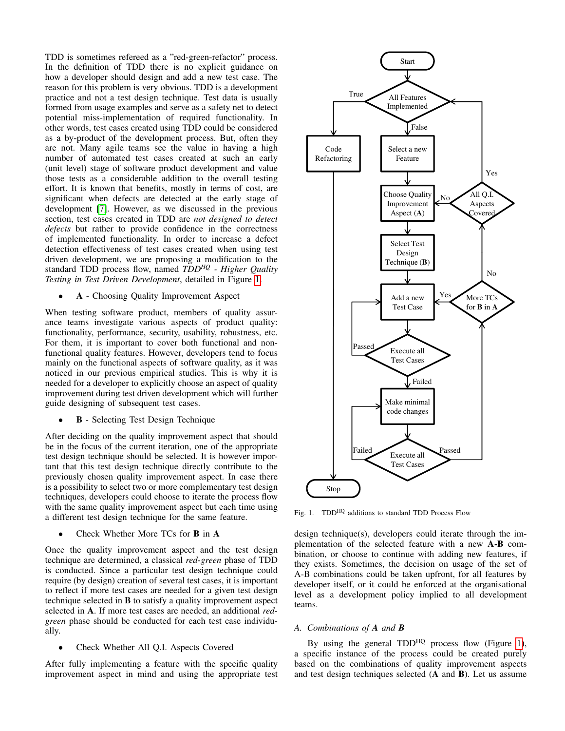TDD is sometimes refereed as a "red-green-refactor" process. In the definition of TDD there is no explicit guidance on how a developer should design and add a new test case. The reason for this problem is very obvious. TDD is a development practice and not a test design technique. Test data is usually formed from usage examples and serve as a safety net to detect potential miss-implementation of required functionality. In other words, test cases created using TDD could be considered as a by-product of the development process. But, often they are not. Many agile teams see the value in having a high number of automated test cases created at such an early (unit level) stage of software product development and value those tests as a considerable addition to the overall testing effort. It is known that benefits, mostly in terms of cost, are significant when defects are detected at the early stage of development [\[7\]](#page-3-6). However, as we discussed in the previous section, test cases created in TDD are *not designed to detect defects* but rather to provide confidence in the correctness of implemented functionality. In order to increase a defect detection effectiveness of test cases created when using test driven development, we are proposing a modification to the standard TDD process flow, named *TDDHQ - Higher Quality Testing in Test Driven Development*, detailed in Figure [1.](#page-1-0)

## • A - Choosing Quality Improvement Aspect

When testing software product, members of quality assurance teams investigate various aspects of product quality: functionality, performance, security, usability, robustness, etc. For them, it is important to cover both functional and nonfunctional quality features. However, developers tend to focus mainly on the functional aspects of software quality, as it was noticed in our previous empirical studies. This is why it is needed for a developer to explicitly choose an aspect of quality improvement during test driven development which will further guide designing of subsequent test cases.

• B - Selecting Test Design Technique

After deciding on the quality improvement aspect that should be in the focus of the current iteration, one of the appropriate test design technique should be selected. It is however important that this test design technique directly contribute to the previously chosen quality improvement aspect. In case there is a possibility to select two or more complementary test design techniques, developers could choose to iterate the process flow with the same quality improvement aspect but each time using a different test design technique for the same feature.

• Check Whether More TCs for B in A

Once the quality improvement aspect and the test design technique are determined, a classical *red-green* phase of TDD is conducted. Since a particular test design technique could require (by design) creation of several test cases, it is important to reflect if more test cases are needed for a given test design technique selected in B to satisfy a quality improvement aspect selected in A. If more test cases are needed, an additional *redgreen* phase should be conducted for each test case individually.

• Check Whether All Q.I. Aspects Covered

After fully implementing a feature with the specific quality improvement aspect in mind and using the appropriate test



<span id="page-1-0"></span>Fig. 1. TDD<sup>HQ</sup> additions to standard TDD Process Flow

design technique(s), developers could iterate through the implementation of the selected feature with a new A-B combination, or choose to continue with adding new features, if they exists. Sometimes, the decision on usage of the set of A-B combinations could be taken upfront, for all features by developer itself, or it could be enforced at the organisational level as a development policy implied to all development teams.

## *A. Combinations of A and B*

By using the general TDD<sup>HQ</sup> process flow (Figure [1\)](#page-1-0), a specific instance of the process could be created purely based on the combinations of quality improvement aspects and test design techniques selected (A and B). Let us assume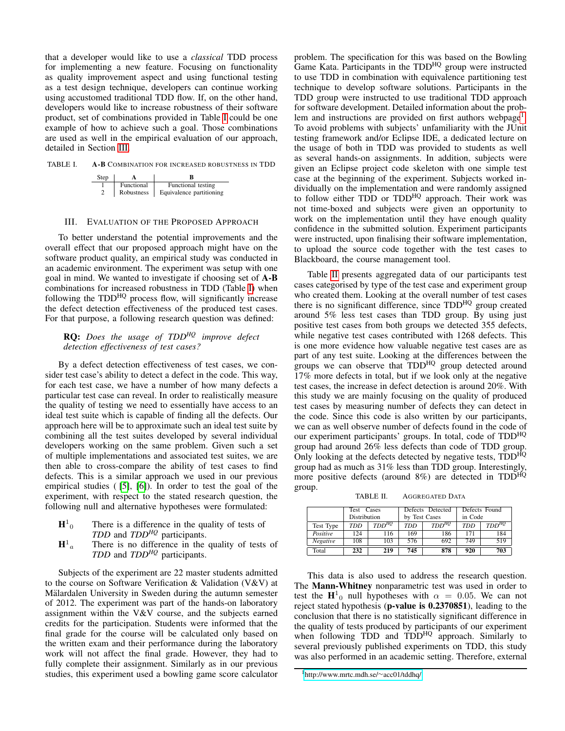that a developer would like to use a *classical* TDD process for implementing a new feature. Focusing on functionality as quality improvement aspect and using functional testing as a test design technique, developers can continue working using accustomed traditional TDD flow. If, on the other hand, developers would like to increase robustness of their software product, set of combinations provided in Table [I](#page-2-0) could be one example of how to achieve such a goal. Those combinations are used as well in the empirical evaluation of our approach, detailed in Section [III.](#page-2-1)

<span id="page-2-0"></span>

| TABLE I. | A-B COMBINATION FOR INCREASED ROBUSTNESS IN TDD |            |                          |  |  |  |
|----------|-------------------------------------------------|------------|--------------------------|--|--|--|
|          | Step                                            |            |                          |  |  |  |
|          |                                                 | Functional | Functional testing       |  |  |  |
|          |                                                 | Robustness | Equivalence partitioning |  |  |  |

### <span id="page-2-1"></span>III. EVALUATION OF THE PROPOSED APPROACH

To better understand the potential improvements and the overall effect that our proposed approach might have on the software product quality, an empirical study was conducted in an academic environment. The experiment was setup with one goal in mind. We wanted to investigate if choosing set of A-B combinations for increased robustness in TDD (Table [I\)](#page-2-0) when following the  $TDD^{HQ}$  process flow, will significantly increase the defect detection effectiveness of the produced test cases. For that purpose, a following research question was defined:

# RQ: *Does the usage of TDDHQ improve defect detection effectiveness of test cases?*

By a defect detection effectiveness of test cases, we consider test case's ability to detect a defect in the code. This way, for each test case, we have a number of how many defects a particular test case can reveal. In order to realistically measure the quality of testing we need to essentially have access to an ideal test suite which is capable of finding all the defects. Our approach here will be to approximate such an ideal test suite by combining all the test suites developed by several individual developers working on the same problem. Given such a set of multiple implementations and associated test suites, we are then able to cross-compare the ability of test cases to find defects. This is a similar approach we used in our previous empirical studies ( [\[5\]](#page-3-4), [\[6\]](#page-3-5)). In order to test the goal of the experiment, with respect to the stated research question, the following null and alternative hypotheses were formulated:

- $H^1_{\ 0}$ There is a difference in the quality of tests of *TDD* and *TDDHQ* participants.
- $H^1$ <sub>a</sub> There is no difference in the quality of tests of *TDD* and *TDDHQ* participants.

Subjects of the experiment are 22 master students admitted to the course on Software Verification & Validation (V&V) at Mälardalen University in Sweden during the autumn semester of 2012. The experiment was part of the hands-on laboratory assignment within the V&V course, and the subjects earned credits for the participation. Students were informed that the final grade for the course will be calculated only based on the written exam and their performance during the laboratory work will not affect the final grade. However, they had to fully complete their assignment. Similarly as in our previous studies, this experiment used a bowling game score calculator

problem. The specification for this was based on the Bowling Game Kata. Participants in the TDD<sup>HQ</sup> group were instructed to use TDD in combination with equivalence partitioning test technique to develop software solutions. Participants in the TDD group were instructed to use traditional TDD approach for software development. Detailed information about the prob-lem and instructions are provided on first authors webpage<sup>[1](#page-2-2)</sup>. To avoid problems with subjects' unfamiliarity with the JUnit testing framework and/or Eclipse IDE, a dedicated lecture on the usage of both in TDD was provided to students as well as several hands-on assignments. In addition, subjects were given an Eclipse project code skeleton with one simple test case at the beginning of the experiment. Subjects worked individually on the implementation and were randomly assigned to follow either TDD or TDD<sup>HQ</sup> approach. Their work was not time-boxed and subjects were given an opportunity to work on the implementation until they have enough quality confidence in the submitted solution. Experiment participants were instructed, upon finalising their software implementation, to upload the source code together with the test cases to Blackboard, the course management tool.

Table [II](#page-2-3) presents aggregated data of our participants test cases categorised by type of the test case and experiment group who created them. Looking at the overall number of test cases there is no significant difference, since TDD<sup>HQ</sup> group created around 5% less test cases than TDD group. By using just positive test cases from both groups we detected 355 defects, while negative test cases contributed with 1268 defects. This is one more evidence how valuable negative test cases are as part of any test suite. Looking at the differences between the groups we can observe that TDD<sup>HQ</sup> group detected around 17% more defects in total, but if we look only at the negative test cases, the increase in defect detection is around 20%. With this study we are mainly focusing on the quality of produced test cases by measuring number of defects they can detect in the code. Since this code is also written by our participants, we can as well observe number of defects found in the code of our experiment participants' groups. In total, code of TDD<sup>HQ</sup> group had around 26% less defects than code of TDD group. Only looking at the defects detected by negative tests, TDD<sup>HQ</sup> group had as much as 31% less than TDD group. Interestingly, more positive defects (around 8%) are detected in TDD<sup>HQ</sup> group.

<span id="page-2-3"></span>TABLE II. AGGREGATED DATA

|                 | Test Cases   |                     | Defects Detected |                   | Defects Found |                   |
|-----------------|--------------|---------------------|------------------|-------------------|---------------|-------------------|
|                 | Distribution |                     | by Test Cases    |                   | in Code       |                   |
| Test Type       | <b>TDD</b>   | $\mathit{TDD}^{HQ}$ | <b>TDD</b>       | TDD <sup>HQ</sup> | TDD           | TDD <sup>HQ</sup> |
| Positive        | 124          | 116                 | 169              | 186               | 171           | 184               |
| <b>Negative</b> | 108          | 103                 | 576              | 692               | 749           | 519               |
| Total           | 232          | 219                 | 745              | 878               | 920           | 703               |

This data is also used to address the research question. The Mann-Whitney nonparametric test was used in order to test the  $H_{0}^{1}$  null hypotheses with  $\alpha = 0.05$ . We can not reject stated hypothesis (p-value is 0.2370851), leading to the conclusion that there is no statistically significant difference in the quality of tests produced by participants of our experiment when following TDD and TDD<sup>HQ</sup> approach. Similarly to several previously published experiments on TDD, this study was also performed in an academic setting. Therefore, external

<span id="page-2-2"></span><sup>1</sup>[http://www.mrtc.mdh.se/](http://www.mrtc.mdh.se/~acc01/tddhq/)∼acc01/tddhq/